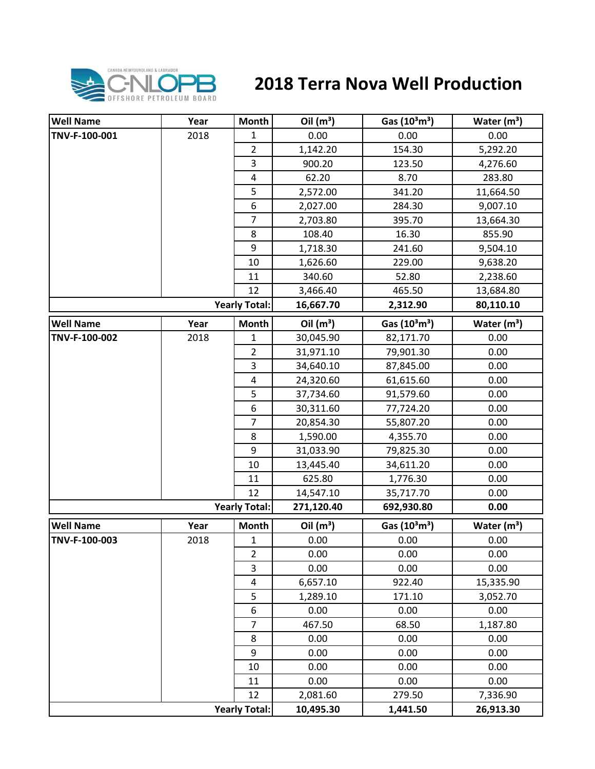

## **2018 Terra Nova Well Production**

| <b>Well Name</b> | Year | Month                   | Oil $(m^3)$ | Gas $(10^3 \text{m}^3)$               | Water $(m^3)$           |
|------------------|------|-------------------------|-------------|---------------------------------------|-------------------------|
| TNV-F-100-001    | 2018 | 1                       | 0.00        | 0.00                                  | 0.00                    |
|                  |      | $\overline{2}$          | 1,142.20    | 154.30                                | 5,292.20                |
|                  |      | 3                       | 900.20      | 123.50                                | 4,276.60                |
|                  |      | $\overline{\mathbf{4}}$ | 62.20       | 8.70                                  | 283.80                  |
|                  |      | 5                       | 2,572.00    | 341.20                                | 11,664.50               |
|                  |      | 6                       | 2,027.00    | 284.30                                | 9,007.10                |
|                  |      | $\overline{7}$          | 2,703.80    | 395.70                                | 13,664.30               |
|                  |      | 8                       | 108.40      | 16.30                                 | 855.90                  |
|                  |      | 9                       | 1,718.30    | 241.60                                | 9,504.10                |
|                  |      | 10                      | 1,626.60    | 229.00                                | 9,638.20                |
|                  |      | 11                      | 340.60      | 52.80                                 | 2,238.60                |
|                  |      | 12                      | 3,466.40    | 465.50                                | 13,684.80               |
|                  |      | <b>Yearly Total:</b>    | 16,667.70   | 2,312.90                              | 80,110.10               |
| <b>Well Name</b> | Year | Month                   | Oil $(m^3)$ | Gas $(10^3 \text{m}^3)$               | Water $(m^3)$           |
| TNV-F-100-002    | 2018 | 1                       | 30,045.90   | 82,171.70                             | 0.00                    |
|                  |      | $\overline{2}$          | 31,971.10   | 79,901.30                             | 0.00                    |
|                  |      | $\mathsf 3$             | 34,640.10   | 87,845.00                             | 0.00                    |
|                  |      | $\overline{\mathbf{4}}$ | 24,320.60   | 61,615.60                             | 0.00                    |
|                  |      | 5                       | 37,734.60   | 91,579.60                             | 0.00                    |
|                  |      | 6                       | 30,311.60   | 77,724.20                             | 0.00                    |
|                  |      | $\overline{7}$          | 20,854.30   | 55,807.20                             | 0.00                    |
|                  |      | 8                       | 1,590.00    | 4,355.70                              | 0.00                    |
|                  |      | 9                       | 31,033.90   | 79,825.30                             | 0.00                    |
|                  |      | 10                      | 13,445.40   | 34,611.20                             | 0.00                    |
|                  |      | 11                      | 625.80      | 1,776.30                              | 0.00                    |
|                  |      | 12                      | 14,547.10   | 35,717.70                             | 0.00                    |
|                  |      | <b>Yearly Total:</b>    | 271,120.40  | 692,930.80                            | 0.00                    |
| <b>Well Name</b> | Year | <b>Month</b>            | Oil $(m^3)$ | Gas (10 <sup>3</sup> m <sup>3</sup> ) | Water (m <sup>3</sup> ) |
| TNV-F-100-003    | 2018 | $\mathbf 1$             | 0.00        | 0.00                                  | 0.00                    |
|                  |      | $\overline{2}$          | 0.00        | 0.00                                  | 0.00                    |
|                  |      | 3                       | 0.00        | 0.00                                  | 0.00                    |
|                  |      | 4                       | 6,657.10    | 922.40                                | 15,335.90               |
|                  |      | 5                       | 1,289.10    | 171.10                                | 3,052.70                |
|                  |      | 6                       | 0.00        | 0.00                                  | 0.00                    |
|                  |      | $\overline{7}$          | 467.50      | 68.50                                 | 1,187.80                |
|                  |      | 8                       | 0.00        | 0.00                                  | 0.00                    |
|                  |      | 9                       | 0.00        | 0.00                                  | 0.00                    |
|                  |      | 10                      | 0.00        | 0.00                                  | 0.00                    |
|                  |      | 11                      | 0.00        | 0.00                                  | 0.00                    |
|                  |      | 12                      | 2,081.60    | 279.50                                | 7,336.90                |
|                  |      | <b>Yearly Total:</b>    | 10,495.30   | 1,441.50                              | 26,913.30               |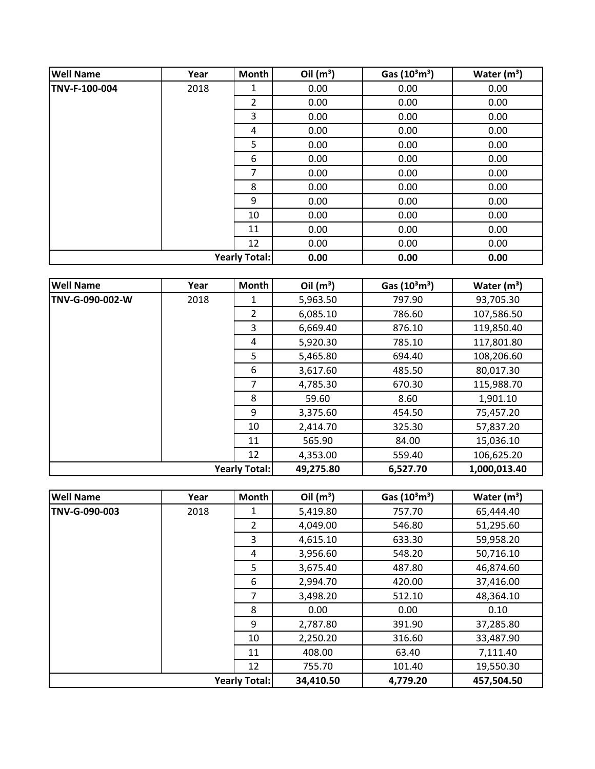| <b>Well Name</b> | Year                 | Month          | Oil $(m^3)$ | Gas $(10^3 \text{m}^3)$ | Water $(m^3)$ |
|------------------|----------------------|----------------|-------------|-------------------------|---------------|
| TNV-F-100-004    | 2018                 | 1              | 0.00        | 0.00                    | 0.00          |
|                  |                      | $\overline{2}$ | 0.00        | 0.00                    | 0.00          |
|                  |                      | 3              | 0.00        | 0.00                    | 0.00          |
|                  |                      | 4              | 0.00        | 0.00                    | 0.00          |
|                  |                      | 5              | 0.00        | 0.00                    | 0.00          |
|                  |                      | 6              | 0.00        | 0.00                    | 0.00          |
|                  |                      | 7              | 0.00        | 0.00                    | 0.00          |
|                  |                      | 8              | 0.00        | 0.00                    | 0.00          |
|                  |                      | 9              | 0.00        | 0.00                    | 0.00          |
|                  |                      | 10             | 0.00        | 0.00                    | 0.00          |
|                  |                      | 11             | 0.00        | 0.00                    | 0.00          |
|                  |                      | 12             | 0.00        | 0.00                    | 0.00          |
|                  | <b>Yearly Total:</b> |                | 0.00        | 0.00                    | 0.00          |

| <b>Well Name</b>     | Year | <b>Month</b> | Oil $(m^3)$ | Gas $(10^3 \text{m}^3)$ | Water $(m^3)$ |
|----------------------|------|--------------|-------------|-------------------------|---------------|
| TNV-G-090-002-W      | 2018 | 1            | 5,963.50    | 797.90                  | 93,705.30     |
|                      |      | 2            | 6,085.10    | 786.60                  | 107,586.50    |
|                      |      | 3            | 6,669.40    | 876.10                  | 119,850.40    |
|                      |      | 4            | 5,920.30    | 785.10                  | 117,801.80    |
|                      |      | 5            | 5,465.80    | 694.40                  | 108,206.60    |
|                      |      | 6            | 3,617.60    | 485.50                  | 80,017.30     |
|                      |      | 7            | 4,785.30    | 670.30                  | 115,988.70    |
|                      |      | 8            | 59.60       | 8.60                    | 1,901.10      |
|                      |      | 9            | 3,375.60    | 454.50                  | 75,457.20     |
|                      |      | 10           | 2,414.70    | 325.30                  | 57,837.20     |
|                      |      | 11           | 565.90      | 84.00                   | 15,036.10     |
|                      |      | 12           | 4,353.00    | 559.40                  | 106,625.20    |
| <b>Yearly Total:</b> |      |              | 49,275.80   | 6,527.70                | 1,000,013.40  |

| <b>Well Name</b> | Year | <b>Month</b>         | Oil $(m^3)$ | Gas $(10^3 \text{m}^3)$ | Water $(m^3)$ |
|------------------|------|----------------------|-------------|-------------------------|---------------|
| TNV-G-090-003    | 2018 | 1                    | 5,419.80    | 757.70                  | 65,444.40     |
|                  |      | $\overline{2}$       | 4,049.00    | 546.80                  | 51,295.60     |
|                  |      | 3                    | 4,615.10    | 633.30                  | 59,958.20     |
|                  |      | 4                    | 3,956.60    | 548.20                  | 50,716.10     |
|                  |      | 5                    | 3,675.40    | 487.80                  | 46,874.60     |
|                  |      | 6                    | 2,994.70    | 420.00                  | 37,416.00     |
|                  |      | 7                    | 3,498.20    | 512.10                  | 48,364.10     |
|                  |      | 8                    | 0.00        | 0.00                    | 0.10          |
|                  |      | 9                    | 2,787.80    | 391.90                  | 37,285.80     |
|                  |      | 10                   | 2,250.20    | 316.60                  | 33,487.90     |
|                  |      | 11                   | 408.00      | 63.40                   | 7,111.40      |
|                  |      | 12                   | 755.70      | 101.40                  | 19,550.30     |
|                  |      | <b>Yearly Total:</b> | 34,410.50   | 4,779.20                | 457,504.50    |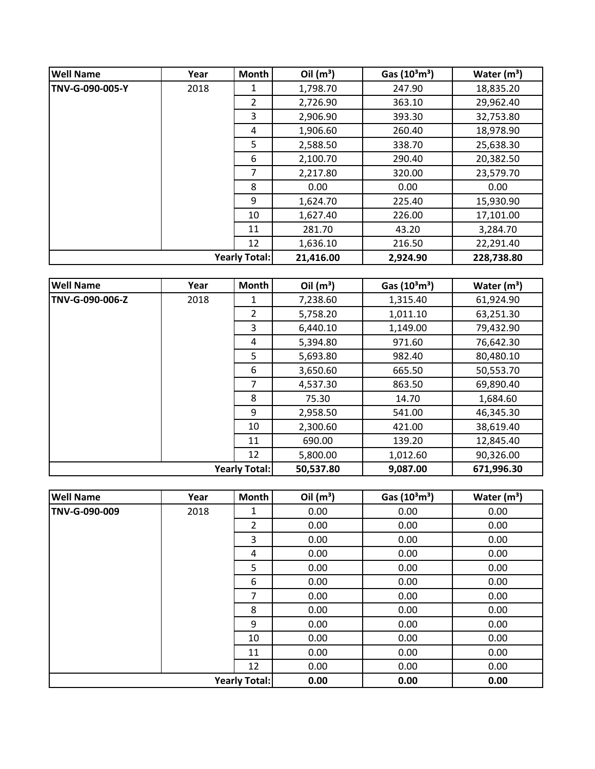| <b>Well Name</b> | Year | <b>Month</b>         | Oil $(m^3)$ | Gas $(10^3 \text{m}^3)$ | Water $(m^3)$ |
|------------------|------|----------------------|-------------|-------------------------|---------------|
| TNV-G-090-005-Y  | 2018 | 1                    | 1,798.70    | 247.90                  | 18,835.20     |
|                  |      | 2                    | 2,726.90    | 363.10                  | 29,962.40     |
|                  |      | 3                    | 2,906.90    | 393.30                  | 32,753.80     |
|                  |      | 4                    | 1,906.60    | 260.40                  | 18,978.90     |
|                  |      | 5                    | 2,588.50    | 338.70                  | 25,638.30     |
|                  |      | 6                    | 2,100.70    | 290.40                  | 20,382.50     |
|                  |      | 7                    | 2,217.80    | 320.00                  | 23,579.70     |
|                  |      | 8                    | 0.00        | 0.00                    | 0.00          |
|                  |      | 9                    | 1,624.70    | 225.40                  | 15,930.90     |
|                  |      | 10                   | 1,627.40    | 226.00                  | 17,101.00     |
|                  |      | 11                   | 281.70      | 43.20                   | 3,284.70      |
|                  |      | 12                   | 1,636.10    | 216.50                  | 22,291.40     |
|                  |      | <b>Yearly Total:</b> | 21,416.00   | 2,924.90                | 228,738.80    |

| <b>Well Name</b> | Year | <b>Month</b>         | Oil $(m^3)$ | Gas $(10^3 \text{m}^3)$ | Water $(m^3)$ |
|------------------|------|----------------------|-------------|-------------------------|---------------|
| TNV-G-090-006-Z  | 2018 | 1                    | 7,238.60    | 1,315.40                | 61,924.90     |
|                  |      | 2                    | 5,758.20    | 1,011.10                | 63,251.30     |
|                  |      | 3                    | 6,440.10    | 1,149.00                | 79,432.90     |
|                  |      | 4                    | 5,394.80    | 971.60                  | 76,642.30     |
|                  |      | 5                    | 5,693.80    | 982.40                  | 80,480.10     |
|                  |      | 6                    | 3,650.60    | 665.50                  | 50,553.70     |
|                  |      | 7                    | 4,537.30    | 863.50                  | 69,890.40     |
|                  |      | 8                    | 75.30       | 14.70                   | 1,684.60      |
|                  |      | 9                    | 2,958.50    | 541.00                  | 46,345.30     |
|                  |      | 10                   | 2,300.60    | 421.00                  | 38,619.40     |
|                  |      | 11                   | 690.00      | 139.20                  | 12,845.40     |
|                  |      | 12                   | 5,800.00    | 1,012.60                | 90,326.00     |
|                  |      | <b>Yearly Total:</b> | 50,537.80   | 9,087.00                | 671,996.30    |

| <b>Well Name</b>     | Year | Month          | Oil $(m^3)$ | Gas $(10^3 \text{m}^3)$ | Water $(m^3)$ |
|----------------------|------|----------------|-------------|-------------------------|---------------|
| TNV-G-090-009        | 2018 | 1              | 0.00        | 0.00                    | 0.00          |
|                      |      | $\overline{2}$ | 0.00        | 0.00                    | 0.00          |
|                      |      | 3              | 0.00        | 0.00                    | 0.00          |
|                      |      | 4              | 0.00        | 0.00                    | 0.00          |
|                      |      | 5              | 0.00        | 0.00                    | 0.00          |
|                      |      | 6              | 0.00        | 0.00                    | 0.00          |
|                      |      | 7              | 0.00        | 0.00                    | 0.00          |
|                      |      | 8              | 0.00        | 0.00                    | 0.00          |
|                      |      | 9              | 0.00        | 0.00                    | 0.00          |
|                      |      | 10             | 0.00        | 0.00                    | 0.00          |
|                      |      | 11             | 0.00        | 0.00                    | 0.00          |
|                      |      | 12             | 0.00        | 0.00                    | 0.00          |
| <b>Yearly Total:</b> |      |                | 0.00        | 0.00                    | 0.00          |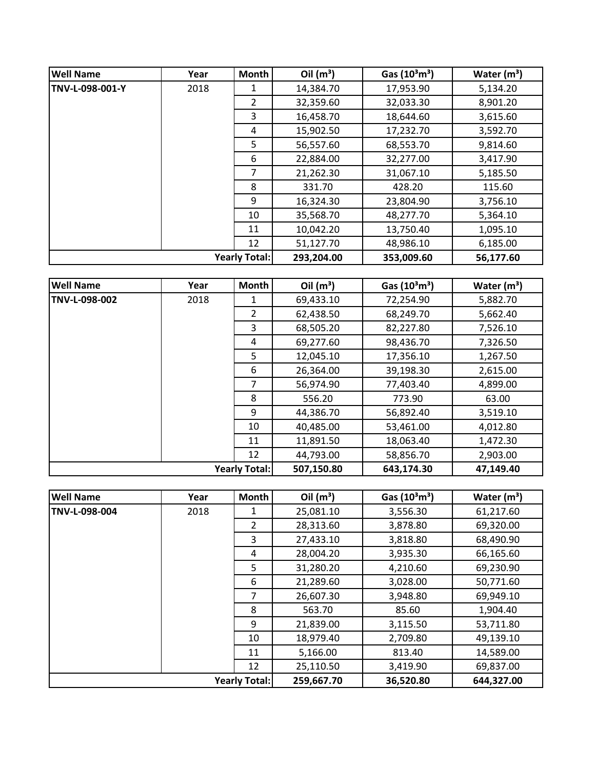| <b>Well Name</b> | Year                 | <b>Month</b> | Oil $(m^3)$ | Gas $(10^3 \text{m}^3)$ | Water $(m^3)$ |
|------------------|----------------------|--------------|-------------|-------------------------|---------------|
| TNV-L-098-001-Y  | 2018                 |              | 14,384.70   | 17,953.90               | 5,134.20      |
|                  |                      | 2            | 32,359.60   | 32,033.30               | 8,901.20      |
|                  |                      | 3            | 16,458.70   | 18,644.60               | 3,615.60      |
|                  |                      | 4            | 15,902.50   | 17,232.70               | 3,592.70      |
|                  |                      | 5.           | 56,557.60   | 68,553.70               | 9,814.60      |
|                  |                      | 6            | 22,884.00   | 32,277.00               | 3,417.90      |
|                  |                      | 7            | 21,262.30   | 31,067.10               | 5,185.50      |
|                  |                      | 8            | 331.70      | 428.20                  | 115.60        |
|                  |                      | 9            | 16,324.30   | 23,804.90               | 3,756.10      |
|                  |                      | 10           | 35,568.70   | 48,277.70               | 5,364.10      |
|                  |                      | 11           | 10,042.20   | 13,750.40               | 1,095.10      |
|                  |                      | 12           | 51,127.70   | 48,986.10               | 6,185.00      |
|                  | <b>Yearly Total:</b> |              | 293,204.00  | 353,009.60              | 56,177.60     |

| <b>Well Name</b>     | Year | Month | Oil $(m^3)$ | Gas $(10^3 \text{m}^3)$ | Water $(m^3)$ |
|----------------------|------|-------|-------------|-------------------------|---------------|
| TNV-L-098-002        | 2018 | 1     | 69,433.10   | 72,254.90               | 5,882.70      |
|                      |      | 2     | 62,438.50   | 68,249.70               | 5,662.40      |
|                      |      | 3     | 68,505.20   | 82,227.80               | 7,526.10      |
|                      |      | 4     | 69,277.60   | 98,436.70               | 7,326.50      |
|                      |      | 5     | 12,045.10   | 17,356.10               | 1,267.50      |
|                      |      | 6     | 26,364.00   | 39,198.30               | 2,615.00      |
|                      |      | 7     | 56,974.90   | 77,403.40               | 4,899.00      |
|                      |      | 8     | 556.20      | 773.90                  | 63.00         |
|                      |      | 9     | 44,386.70   | 56,892.40               | 3,519.10      |
|                      |      | 10    | 40,485.00   | 53,461.00               | 4,012.80      |
|                      |      | 11    | 11,891.50   | 18,063.40               | 1,472.30      |
|                      |      | 12    | 44,793.00   | 58,856.70               | 2,903.00      |
| <b>Yearly Total:</b> |      |       | 507,150.80  | 643,174.30              | 47,149.40     |

| <b>Well Name</b>     | Year | Month          | Oil $(m^3)$ | Gas $(10^3 \text{m}^3)$ | Water $(m^3)$ |
|----------------------|------|----------------|-------------|-------------------------|---------------|
| TNV-L-098-004        | 2018 |                | 25,081.10   | 3,556.30                | 61,217.60     |
|                      |      | $\overline{2}$ | 28,313.60   | 3,878.80                | 69,320.00     |
|                      |      | 3              | 27,433.10   | 3,818.80                | 68,490.90     |
|                      |      | 4              | 28,004.20   | 3,935.30                | 66,165.60     |
|                      |      | 5              | 31,280.20   | 4,210.60                | 69,230.90     |
|                      |      | 6              | 21,289.60   | 3,028.00                | 50,771.60     |
|                      |      | 7              | 26,607.30   | 3,948.80                | 69,949.10     |
|                      |      | 8              | 563.70      | 85.60                   | 1,904.40      |
|                      |      | 9              | 21,839.00   | 3,115.50                | 53,711.80     |
|                      |      | 10             | 18,979.40   | 2,709.80                | 49,139.10     |
|                      |      | 11             | 5,166.00    | 813.40                  | 14,589.00     |
|                      |      | 12             | 25,110.50   | 3,419.90                | 69,837.00     |
| <b>Yearly Total:</b> |      |                | 259,667.70  | 36,520.80               | 644,327.00    |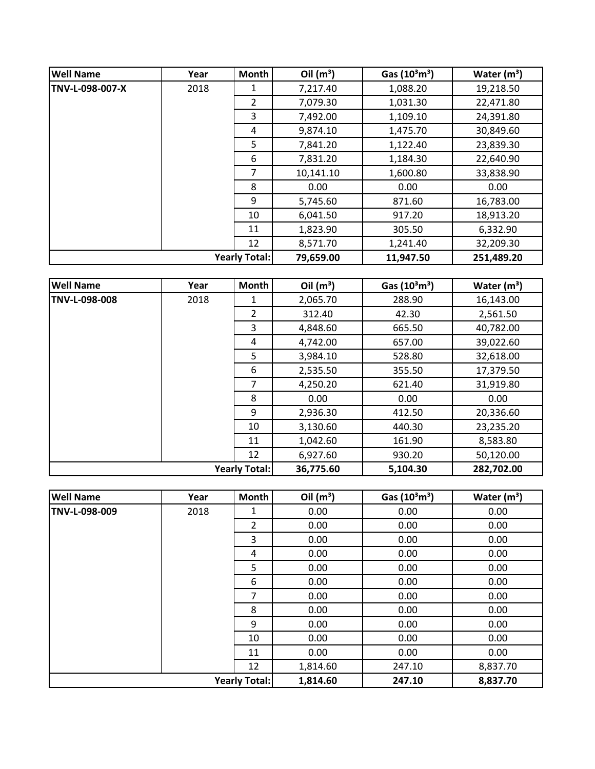| <b>Well Name</b>     | Year | <b>Month</b> | Oil $(m^3)$ | Gas $(10^3 \text{m}^3)$ | Water $(m^3)$ |
|----------------------|------|--------------|-------------|-------------------------|---------------|
| TNV-L-098-007-X      | 2018 | 1            | 7,217.40    | 1,088.20                | 19,218.50     |
|                      |      | 2            | 7,079.30    | 1,031.30                | 22,471.80     |
|                      |      | 3            | 7,492.00    | 1,109.10                | 24,391.80     |
|                      |      | 4            | 9,874.10    | 1,475.70                | 30,849.60     |
|                      |      | 5            | 7,841.20    | 1,122.40                | 23,839.30     |
|                      |      | 6            | 7,831.20    | 1,184.30                | 22,640.90     |
|                      |      | 7            | 10,141.10   | 1,600.80                | 33,838.90     |
|                      |      | 8            | 0.00        | 0.00                    | 0.00          |
|                      |      | 9            | 5,745.60    | 871.60                  | 16,783.00     |
|                      |      | 10           | 6,041.50    | 917.20                  | 18,913.20     |
|                      |      | 11           | 1,823.90    | 305.50                  | 6,332.90      |
|                      |      | 12           | 8,571.70    | 1,241.40                | 32,209.30     |
| <b>Yearly Total:</b> |      |              | 79,659.00   | 11,947.50               | 251,489.20    |

| <b>Well Name</b> | Year | <b>Month</b>         | Oil $(m^3)$ | Gas $(10^3 \text{m}^3)$ | Water $(m^3)$ |
|------------------|------|----------------------|-------------|-------------------------|---------------|
| TNV-L-098-008    | 2018 | 1                    | 2,065.70    | 288.90                  | 16,143.00     |
|                  |      | 2                    | 312.40      | 42.30                   | 2,561.50      |
|                  |      | 3                    | 4,848.60    | 665.50                  | 40,782.00     |
|                  |      | 4                    | 4,742.00    | 657.00                  | 39,022.60     |
|                  |      | 5                    | 3,984.10    | 528.80                  | 32,618.00     |
|                  |      | 6                    | 2,535.50    | 355.50                  | 17,379.50     |
|                  |      | 7                    | 4,250.20    | 621.40                  | 31,919.80     |
|                  |      | 8                    | 0.00        | 0.00                    | 0.00          |
|                  |      | 9                    | 2,936.30    | 412.50                  | 20,336.60     |
|                  |      | 10                   | 3,130.60    | 440.30                  | 23,235.20     |
|                  |      | 11                   | 1,042.60    | 161.90                  | 8,583.80      |
|                  |      | 12                   | 6,927.60    | 930.20                  | 50,120.00     |
|                  |      | <b>Yearly Total:</b> | 36,775.60   | 5,104.30                | 282,702.00    |

| <b>Well Name</b>     | Year | Month          | Oil $(m^3)$ | Gas $(10^3 \text{m}^3)$ | Water $(m^3)$ |
|----------------------|------|----------------|-------------|-------------------------|---------------|
| TNV-L-098-009        | 2018 | 1              | 0.00        | 0.00                    | 0.00          |
|                      |      | $\overline{2}$ | 0.00        | 0.00                    | 0.00          |
|                      |      | 3              | 0.00        | 0.00                    | 0.00          |
|                      |      | 4              | 0.00        | 0.00                    | 0.00          |
|                      |      | 5              | 0.00        | 0.00                    | 0.00          |
|                      |      | 6              | 0.00        | 0.00                    | 0.00          |
|                      |      | 7              | 0.00        | 0.00                    | 0.00          |
|                      |      | 8              | 0.00        | 0.00                    | 0.00          |
|                      |      | 9              | 0.00        | 0.00                    | 0.00          |
|                      |      | 10             | 0.00        | 0.00                    | 0.00          |
|                      |      | 11             | 0.00        | 0.00                    | 0.00          |
|                      |      | 12             | 1,814.60    | 247.10                  | 8,837.70      |
| <b>Yearly Total:</b> |      |                | 1,814.60    | 247.10                  | 8,837.70      |